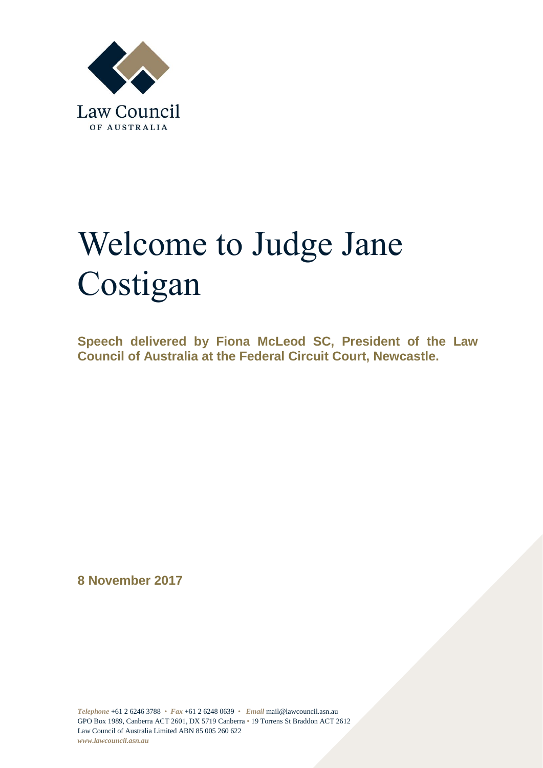

## Welcome to Judge Jane Costigan

**Speech delivered by Fiona McLeod SC, President of the Law Council of Australia at the Federal Circuit Court, Newcastle.**

**8 November 2017**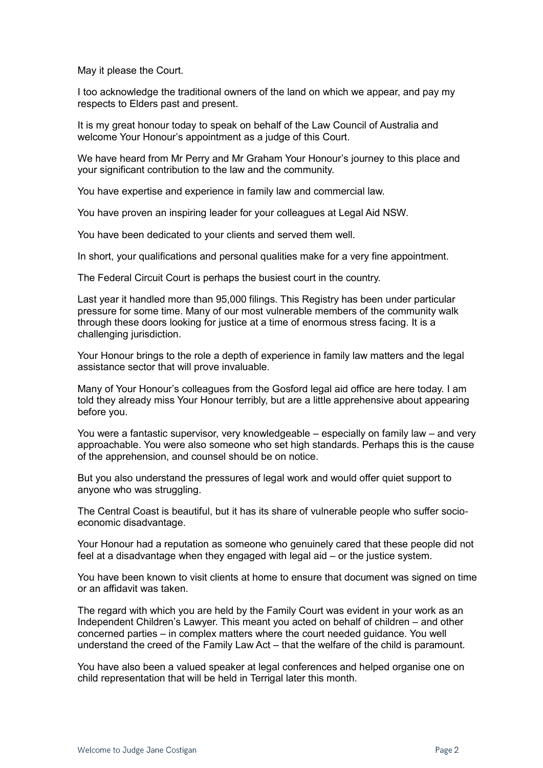May it please the Court.

I too acknowledge the traditional owners of the land on which we appear, and pay my respects to Elders past and present.

It is my great honour today to speak on behalf of the Law Council of Australia and welcome Your Honour's appointment as a judge of this Court.

We have heard from Mr Perry and Mr Graham Your Honour's journey to this place and your significant contribution to the law and the community.

You have expertise and experience in family law and commercial law.

You have proven an inspiring leader for your colleagues at Legal Aid NSW.

You have been dedicated to your clients and served them well.

In short, your qualifications and personal qualities make for a very fine appointment.

The Federal Circuit Court is perhaps the busiest court in the country.

Last year it handled more than 95,000 filings. This Registry has been under particular pressure for some time. Many of our most vulnerable members of the community walk through these doors looking for justice at a time of enormous stress facing. It is a challenging jurisdiction.

Your Honour brings to the role a depth of experience in family law matters and the legal assistance sector that will prove invaluable.

Many of Your Honour's colleagues from the Gosford legal aid office are here today. I am told they already miss Your Honour terribly, but are a little apprehensive about appearing before you.

You were a fantastic supervisor, very knowledgeable – especially on family law – and very approachable. You were also someone who set high standards. Perhaps this is the cause of the apprehension, and counsel should be on notice.

But you also understand the pressures of legal work and would offer quiet support to anyone who was struggling.

The Central Coast is beautiful, but it has its share of vulnerable people who suffer socioeconomic disadvantage.

Your Honour had a reputation as someone who genuinely cared that these people did not feel at a disadvantage when they engaged with legal aid – or the justice system.

You have been known to visit clients at home to ensure that document was signed on time or an affidavit was taken.

The regard with which you are held by the Family Court was evident in your work as an Independent Children's Lawyer. This meant you acted on behalf of children – and other concerned parties – in complex matters where the court needed guidance. You well understand the creed of the Family Law Act – that the welfare of the child is paramount.

You have also been a valued speaker at legal conferences and helped organise one on child representation that will be held in Terrigal later this month.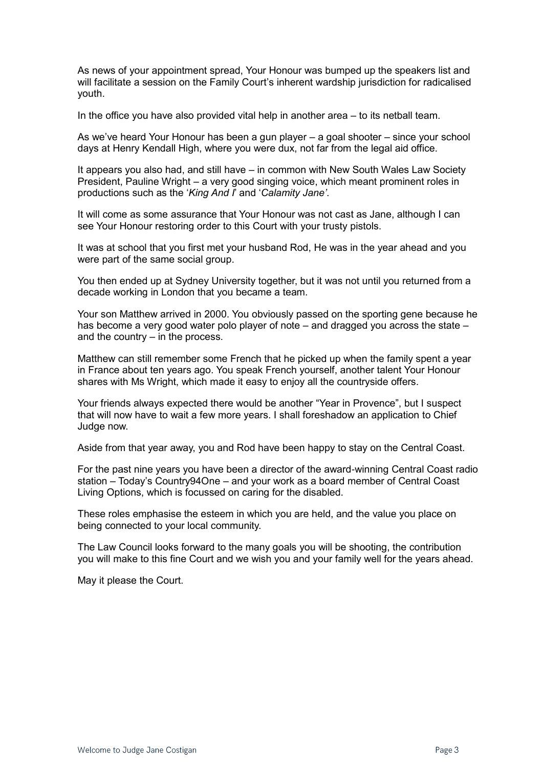As news of your appointment spread, Your Honour was bumped up the speakers list and will facilitate a session on the Family Court's inherent wardship jurisdiction for radicalised youth.

In the office you have also provided vital help in another area – to its netball team.

As we've heard Your Honour has been a gun player – a goal shooter – since your school days at Henry Kendall High, where you were dux, not far from the legal aid office.

It appears you also had, and still have – in common with New South Wales Law Society President, Pauline Wright – a very good singing voice, which meant prominent roles in productions such as the '*King And I*' and '*Calamity Jane'*.

It will come as some assurance that Your Honour was not cast as Jane, although I can see Your Honour restoring order to this Court with your trusty pistols.

It was at school that you first met your husband Rod, He was in the year ahead and you were part of the same social group.

You then ended up at Sydney University together, but it was not until you returned from a decade working in London that you became a team.

Your son Matthew arrived in 2000. You obviously passed on the sporting gene because he has become a very good water polo player of note – and dragged you across the state – and the country – in the process.

Matthew can still remember some French that he picked up when the family spent a year in France about ten years ago. You speak French yourself, another talent Your Honour shares with Ms Wright, which made it easy to enjoy all the countryside offers.

Your friends always expected there would be another "Year in Provence", but I suspect that will now have to wait a few more years. I shall foreshadow an application to Chief Judge now.

Aside from that year away, you and Rod have been happy to stay on the Central Coast.

For the past nine years you have been a director of the award-winning Central Coast radio station – Today's Country94One – and your work as a board member of Central Coast Living Options, which is focussed on caring for the disabled.

These roles emphasise the esteem in which you are held, and the value you place on being connected to your local community.

The Law Council looks forward to the many goals you will be shooting, the contribution you will make to this fine Court and we wish you and your family well for the years ahead.

May it please the Court.